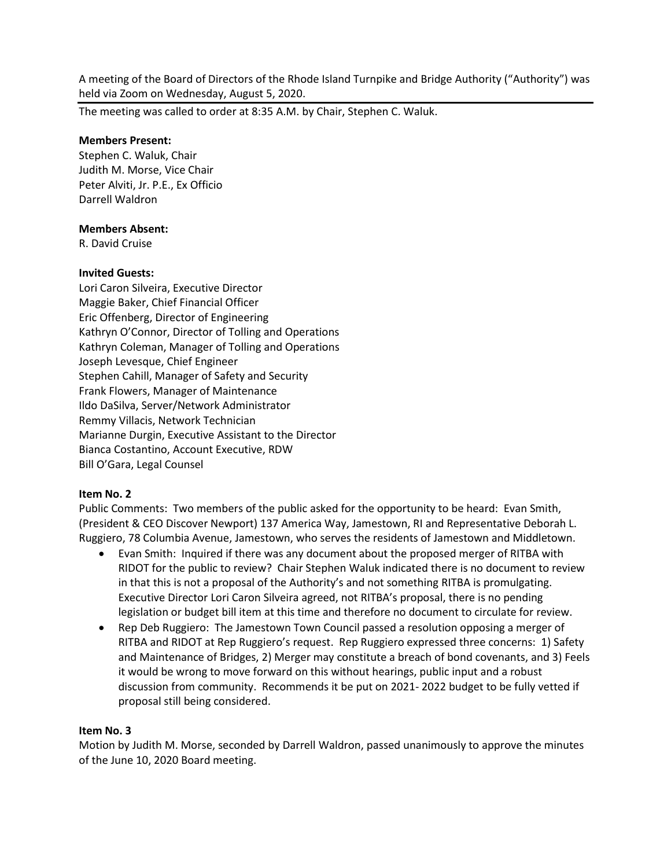A meeting of the Board of Directors of the Rhode Island Turnpike and Bridge Authority ("Authority") was held via Zoom on Wednesday, August 5, 2020.

The meeting was called to order at 8:35 A.M. by Chair, Stephen C. Waluk.

## **Members Present:**

Stephen C. Waluk, Chair Judith M. Morse, Vice Chair Peter Alviti, Jr. P.E., Ex Officio Darrell Waldron

### **Members Absent:**

R. David Cruise

### **Invited Guests:**

Lori Caron Silveira, Executive Director Maggie Baker, Chief Financial Officer Eric Offenberg, Director of Engineering Kathryn O'Connor, Director of Tolling and Operations Kathryn Coleman, Manager of Tolling and Operations Joseph Levesque, Chief Engineer Stephen Cahill, Manager of Safety and Security Frank Flowers, Manager of Maintenance Ildo DaSilva, Server/Network Administrator Remmy Villacis, Network Technician Marianne Durgin, Executive Assistant to the Director Bianca Costantino, Account Executive, RDW Bill O'Gara, Legal Counsel

# **Item No. 2**

Public Comments: Two members of the public asked for the opportunity to be heard: Evan Smith, (President & CEO Discover Newport) 137 America Way, Jamestown, RI and Representative Deborah L. Ruggiero, 78 Columbia Avenue, Jamestown, who serves the residents of Jamestown and Middletown.

- Evan Smith: Inquired if there was any document about the proposed merger of RITBA with RIDOT for the public to review? Chair Stephen Waluk indicated there is no document to review in that this is not a proposal of the Authority's and not something RITBA is promulgating. Executive Director Lori Caron Silveira agreed, not RITBA's proposal, there is no pending legislation or budget bill item at this time and therefore no document to circulate for review.
- Rep Deb Ruggiero: The Jamestown Town Council passed a resolution opposing a merger of RITBA and RIDOT at Rep Ruggiero's request. Rep Ruggiero expressed three concerns: 1) Safety and Maintenance of Bridges, 2) Merger may constitute a breach of bond covenants, and 3) Feels it would be wrong to move forward on this without hearings, public input and a robust discussion from community. Recommends it be put on 2021- 2022 budget to be fully vetted if proposal still being considered.

#### **Item No. 3**

Motion by Judith M. Morse, seconded by Darrell Waldron, passed unanimously to approve the minutes of the June 10, 2020 Board meeting.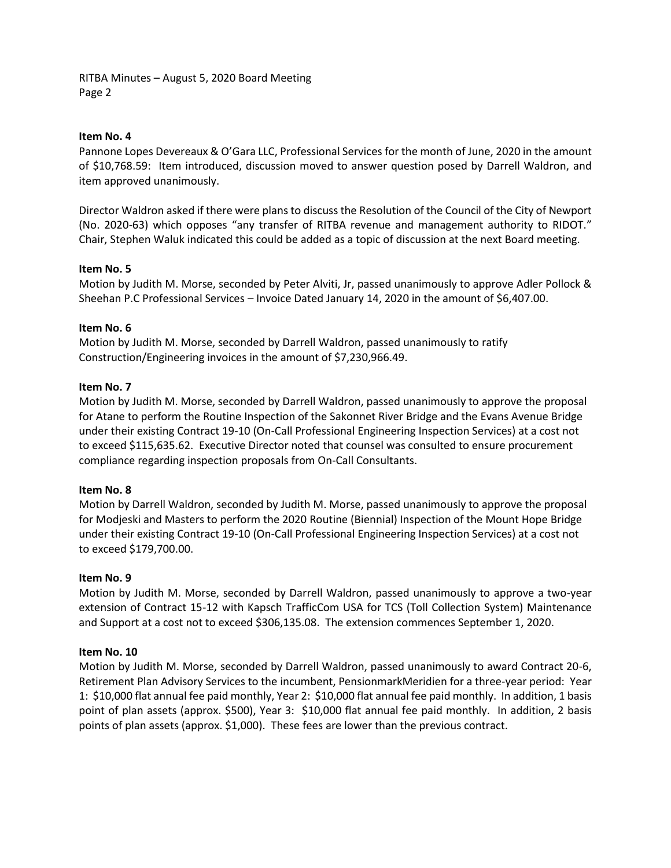RITBA Minutes – August 5, 2020 Board Meeting Page 2

#### **Item No. 4**

Pannone Lopes Devereaux & O'Gara LLC, Professional Services for the month of June, 2020 in the amount of \$10,768.59: Item introduced, discussion moved to answer question posed by Darrell Waldron, and item approved unanimously.

Director Waldron asked if there were plans to discuss the Resolution of the Council of the City of Newport (No. 2020-63) which opposes "any transfer of RITBA revenue and management authority to RIDOT." Chair, Stephen Waluk indicated this could be added as a topic of discussion at the next Board meeting.

# **Item No. 5**

Motion by Judith M. Morse, seconded by Peter Alviti, Jr, passed unanimously to approve Adler Pollock & Sheehan P.C Professional Services – Invoice Dated January 14, 2020 in the amount of \$6,407.00.

### **Item No. 6**

Motion by Judith M. Morse, seconded by Darrell Waldron, passed unanimously to ratify Construction/Engineering invoices in the amount of \$7,230,966.49.

### **Item No. 7**

Motion by Judith M. Morse, seconded by Darrell Waldron, passed unanimously to approve the proposal for Atane to perform the Routine Inspection of the Sakonnet River Bridge and the Evans Avenue Bridge under their existing Contract 19-10 (On-Call Professional Engineering Inspection Services) at a cost not to exceed \$115,635.62. Executive Director noted that counsel was consulted to ensure procurement compliance regarding inspection proposals from On-Call Consultants.

#### **Item No. 8**

Motion by Darrell Waldron, seconded by Judith M. Morse, passed unanimously to approve the proposal for Modjeski and Masters to perform the 2020 Routine (Biennial) Inspection of the Mount Hope Bridge under their existing Contract 19-10 (On-Call Professional Engineering Inspection Services) at a cost not to exceed \$179,700.00.

# **Item No. 9**

Motion by Judith M. Morse, seconded by Darrell Waldron, passed unanimously to approve a two-year extension of Contract 15-12 with Kapsch TrafficCom USA for TCS (Toll Collection System) Maintenance and Support at a cost not to exceed \$306,135.08. The extension commences September 1, 2020.

#### **Item No. 10**

Motion by Judith M. Morse, seconded by Darrell Waldron, passed unanimously to award Contract 20-6, Retirement Plan Advisory Services to the incumbent, PensionmarkMeridien for a three-year period: Year 1: \$10,000 flat annual fee paid monthly, Year 2: \$10,000 flat annual fee paid monthly. In addition, 1 basis point of plan assets (approx. \$500), Year 3: \$10,000 flat annual fee paid monthly. In addition, 2 basis points of plan assets (approx. \$1,000). These fees are lower than the previous contract.